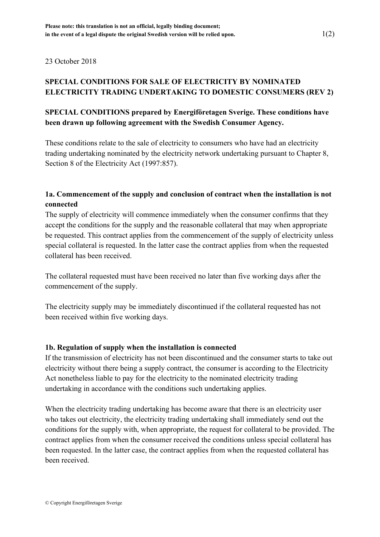23 October 2018

# **SPECIAL CONDITIONS FOR SALE OF ELECTRICITY BY NOMINATED ELECTRICITY TRADING UNDERTAKING TO DOMESTIC CONSUMERS (REV 2)**

# **SPECIAL CONDITIONS prepared by Energiföretagen Sverige. These conditions have been drawn up following agreement with the Swedish Consumer Agency.**

These conditions relate to the sale of electricity to consumers who have had an electricity trading undertaking nominated by the electricity network undertaking pursuant to Chapter 8, Section 8 of the Electricity Act (1997:857).

## **1a. Commencement of the supply and conclusion of contract when the installation is not connected**

The supply of electricity will commence immediately when the consumer confirms that they accept the conditions for the supply and the reasonable collateral that may when appropriate be requested. This contract applies from the commencement of the supply of electricity unless special collateral is requested. In the latter case the contract applies from when the requested collateral has been received.

The collateral requested must have been received no later than five working days after the commencement of the supply.

The electricity supply may be immediately discontinued if the collateral requested has not been received within five working days.

### **1b. Regulation of supply when the installation is connected**

If the transmission of electricity has not been discontinued and the consumer starts to take out electricity without there being a supply contract, the consumer is according to the Electricity Act nonetheless liable to pay for the electricity to the nominated electricity trading undertaking in accordance with the conditions such undertaking applies.

When the electricity trading undertaking has become aware that there is an electricity user who takes out electricity, the electricity trading undertaking shall immediately send out the conditions for the supply with, when appropriate, the request for collateral to be provided. The contract applies from when the consumer received the conditions unless special collateral has been requested. In the latter case, the contract applies from when the requested collateral has been received.